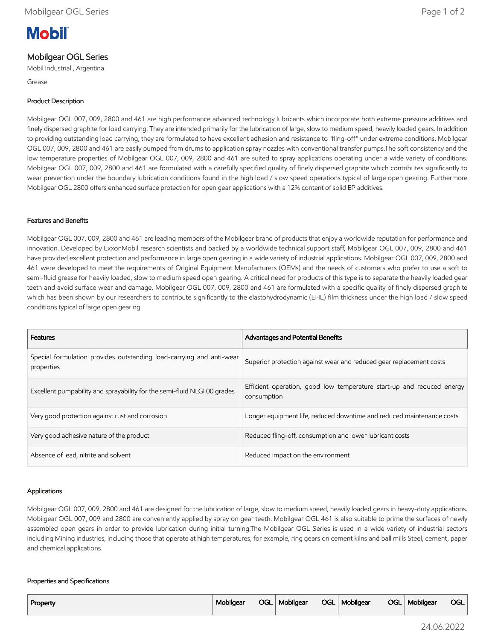# **Mobil**

# Mobilgear OGL Series

Mobil Industrial , Argentina

Grease

# Product Description

Mobilgear OGL 007, 009, 2800 and 461 are high performance advanced technology lubricants which incorporate both extreme pressure additives and finely dispersed graphite for load carrying. They are intended primarily for the lubrication of large, slow to medium speed, heavily loaded gears. In addition to providing outstanding load carrying, they are formulated to have excellent adhesion and resistance to "fling-off" under extreme conditions. Mobilgear OGL 007, 009, 2800 and 461 are easily pumped from drums to application spray nozzles with conventional transfer pumps.The soft consistency and the low temperature properties of Mobilgear OGL 007, 009, 2800 and 461 are suited to spray applications operating under a wide variety of conditions. Mobilgear OGL 007, 009, 2800 and 461 are formulated with a carefully specified quality of finely dispersed graphite which contributes significantly to wear prevention under the boundary lubrication conditions found in the high load / slow speed operations typical of large open gearing. Furthermore Mobilgear OGL 2800 offers enhanced surface protection for open gear applications with a 12% content of solid EP additives.

## Features and Benefits

Mobilgear OGL 007, 009, 2800 and 461 are leading members of the Mobilgear brand of products that enjoy a worldwide reputation for performance and innovation. Developed by ExxonMobil research scientists and backed by a worldwide technical support staff, Mobilgear OGL 007, 009, 2800 and 461 have provided excellent protection and performance in large open gearing in a wide variety of industrial applications. Mobilgear OGL 007, 009, 2800 and 461 were developed to meet the requirements of Original Equipment Manufacturers (OEMs) and the needs of customers who prefer to use a soft to semi-fluid grease for heavily loaded, slow to medium speed open gearing. A critical need for products of this type is to separate the heavily loaded gear teeth and avoid surface wear and damage. Mobilgear OGL 007, 009, 2800 and 461 are formulated with a specific quality of finely dispersed graphite which has been shown by our researchers to contribute significantly to the elastohydrodynamic (EHL) film thickness under the high load / slow speed conditions typical of large open gearing.

| <b>Features</b>                                                                    | <b>Advantages and Potential Benefits</b>                                             |
|------------------------------------------------------------------------------------|--------------------------------------------------------------------------------------|
| Special formulation provides outstanding load-carrying and anti-wear<br>properties | Superior protection against wear and reduced gear replacement costs                  |
| Excellent pumpability and sprayability for the semi-fluid NLGI 00 grades           | Efficient operation, good low temperature start-up and reduced energy<br>consumption |
| Very good protection against rust and corrosion                                    | Longer equipment life, reduced downtime and reduced maintenance costs                |
| Very good adhesive nature of the product                                           | Reduced fling-off, consumption and lower lubricant costs                             |
| Absence of lead, nitrite and solvent                                               | Reduced impact on the environment                                                    |

## Applications

Mobilgear OGL 007, 009, 2800 and 461 are designed for the lubrication of large, slow to medium speed, heavily loaded gears in heavy-duty applications. Mobilgear OGL 007, 009 and 2800 are conveniently applied by spray on gear teeth. Mobilgear OGL 461 is also suitable to prime the surfaces of newly assembled open gears in order to provide lubrication during initial turning.The Mobilgear OGL Series is used in a wide variety of industrial sectors including Mining industries, including those that operate at high temperatures, for example, ring gears on cement kilns and ball mills Steel, cement, paper and chemical applications.

#### Properties and Specifications

| Property | Mobilgear |  | OGL   Mobilgear |  | OGL   Mobilgear |  | OGL   Mobilgear | <b>OGL</b> |
|----------|-----------|--|-----------------|--|-----------------|--|-----------------|------------|
|----------|-----------|--|-----------------|--|-----------------|--|-----------------|------------|